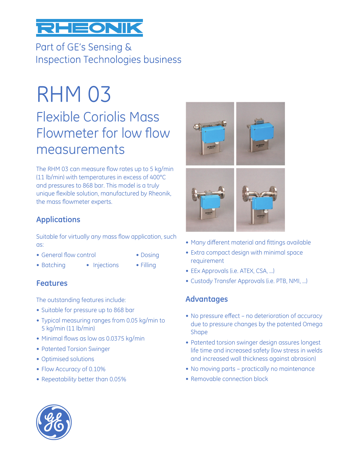

Part of GE's Sensing & **Inspection Technologies business** 

# RHM 03

Flexible Coriolis Mass Flowmeter for low flow measurements

The RHM 03 can measure flow rates up to 5 kg/min (11 lb/min) with temperatures in excess of 400°C and pressures to 868 bar. This model is a truly unique flexible solution, manufactured by Rheonik, the mass flowmeter experts.

# **Applications**

Suitable for virtually any mass flow application, such as:

- General flow control Dosing
	-

- 
- Batching Injections Filling
	-
- 

# **Features**

The outstanding features include:

- Suitable for pressure up to 868 bar
- Typical measuring ranges from 0.05 kg/min to 5 kg/min (11 lb/min)
- $\bullet$  Minimal flows as low as 0.0375 kg/min
- Patented Torsion Swinger
- Optimised solutions
- Flow Accuracy of 0.10%
- Repeatability better than 0.05%



- Many different material and fittings available
- Extra compact design with minimal space requirement
- EEx Approvals (i.e. ATEX, CSA, ...)
- Custody Transfer Approvals (i.e. PTB, NMI, ...)

# **Advantages**

- No pressure effect no deterioration of accuracy due to pressure changes by the patented Omega Shape
- Patented torsion swinger design assures longest life time and increased safety (low stress in welds and increased wall thickness against abrasion)
- No moving parts practically no maintenance
- Removable connection block

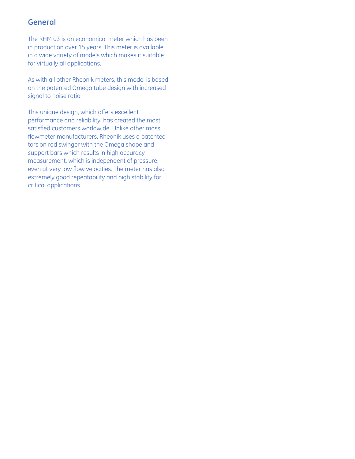# **General**

The RHM 03 is an economical meter which has been in production over 15 years. This meter is available in a wide variety of models which makes it suitable for virtually all applications.

As with all other Rheonik meters, this model is based on the patented Omega tube design with increased signal to noise ratio.

This unique design, which offers excellent performance and reliability, has created the most satisfied customers worldwide. Unlike other mass flowmeter manufacturers, Rheonik uses a patented torsion rod swinger with the Omega shape and support bars which results in high accuracy measurement, which is independent of pressure, even at very low flow velocities. The meter has also extremely good repeatability and high stability for critical applications.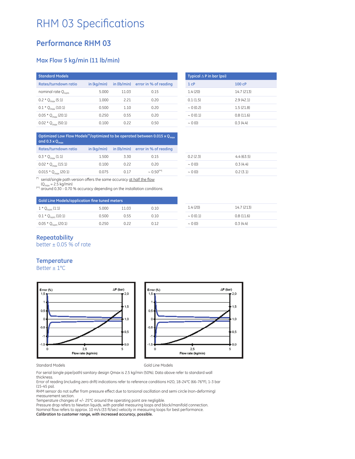# RHM 03 Specifications

# **Performance RHM 03**

#### **Max Flow 5 kg/min (11 lb/min)**

| <b>Standard Models</b>         |             |                   |                       |
|--------------------------------|-------------|-------------------|-----------------------|
| Rates/turndown ratio           | in (kg/min) | $in$ ( $lb/min$ ) | error in % of reading |
| nominal rate $Q_{nom}$         | 5.000       | 11.03             | 0.15                  |
| $0.2 * Q_{\text{max}} (5:1)$   | 1.000       | 2.21              | 0.20                  |
| $0.1 * Q_{max} (10:1)$         | 0.500       | 1.10              | 0.20                  |
| $0.05 * Q_{\text{max}}$ (20:1) | 0.250       | 0.55              | 0.20                  |
| $0.02 * Q_{max}$ (50:1)        | 0.100       | 0.22              | 0.50                  |

| Typical $\triangle$ P in bar (psi) |                   |
|------------------------------------|-------------------|
| 1 <sub>CP</sub>                    | 100 <sub>CP</sub> |
| 1.4(20)                            | 14.7 (213)        |
| 0.1(1.5)                           | 2.9(42.1)         |
| $\sim$ 0 (0.2)                     | 1.5(21.8)         |
| $\sim 0(0.1)$                      | 0.8(11.6)         |
| ~10(0)                             | 0.3(4.4)          |

| Optimized Low Flow Models <sup>(*)</sup> /optimized to be operated between 0.015 x Q <sub>max</sub><br>and 0.3 x $Q_{max}$ |             |      |                                   |  |  |
|----------------------------------------------------------------------------------------------------------------------------|-------------|------|-----------------------------------|--|--|
| Rates/turndown ratio                                                                                                       | in (kg/min) |      | in (lb/min) error in % of reading |  |  |
| $0.3 * Q_{\text{max}} (1:1)$                                                                                               | 1.500       | 3.30 | 0.15                              |  |  |
| $0.02 * Q_{\text{max}} (15:1)$                                                                                             | 0.100       | 0.22 | 0.20                              |  |  |
| $0.015 * Q_{max}$ (20:1)                                                                                                   | 0.075       | 0.17 | $\sim 0.50^{(*)}$                 |  |  |

| 0.2(2.3)    | 4.4(63.5) |
|-------------|-----------|
| ~0.0101     | 0.3(4.4)  |
| $\sim 0(0)$ | 0.2(3.1)  |

<sup>(\*)</sup> serial/single path version offers the same accuracy <u>at half the flow</u><br>  $\frac{1}{100}$  (Q<sub>max</sub> = 2.5 kg/min)

(\*\*) around 0.30 - 0.70 % accuracy depending on the installation conditions

| Gold Line Models/application fine tuned meters |       |       |      |                |            |
|------------------------------------------------|-------|-------|------|----------------|------------|
| $1 * Q_{nom} (1:1)$                            | 5.000 | 11.03 | 0.10 | 1.4(20)        | 14.7 (213) |
| $0.1 * Q_{\text{nom}} (10:1)$                  | 0.500 | 0.55  | 0.10 | $\sim$ 0 (0.1) | 0.8(11.6)  |
| $0.05 * Q_{nom}$ (20:1)                        | 0.250 | N 22  | 0.12 | $\sim$ 0 (0)   | 0.3(4.4)   |

#### **Repeatability**

better  $\pm$  0.05 % of rate

#### **Temperature**

Better ± 1°C



#### Standard Models **Gold Line Models**

For serial (single pipe/path) sanitary design Qmax is 2.5 kg/min (50%). Data above refer to standard wall thickness.

Error of reading (including zero drift) indications refer to reference conditions H2O, 18-24°C (66-76°F), 1-3 bar (15-45 psi).

RHM sensor do not suffer from pressure effect due to torsional oscillation and semi circle (non-deforming) measurement section.

Temperature changes of +/- 25°C around the operating point are negligible.

Pressure drop refers to Newton liquids, with parallel measuring loops and block/manifold connection. Nominal flow refers to approx. 10 m/s (33 ft/sec) velocity in measuring loops for best performance.

**Calibration to customer range, with increased accuracy, possible.**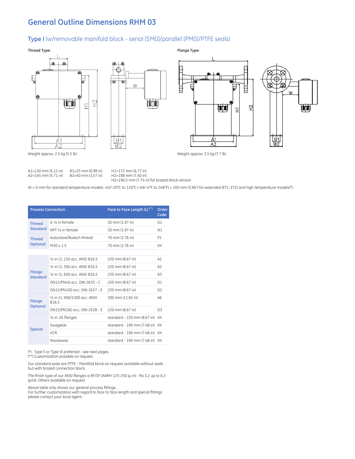# **General Outline Dimensions RHM 03**

# **Type I** (w/removable manifold block - serial [SM0]/parallel [PM0]/PTFE seals)



A1=130 mm (5.12 in) B1=25 mm (0.98 in) H1=172 mm (6.77 in)<br>A2=145 mm (5.71 in) B2=40 mm (1.57 in) H2=188 mm (7.40 in)

H2=188 mm (7.40 in) H2=196.5 mm (7.74 in) for brazed block version

W = 0 mm for standard temperature models -45/-20°C to 120°C (-49/-4°F to 248°F) = 100 mm (3.96") for extended (ET1, ET2) and high temperature models(\*)

| <b>Process Connection</b>        |                                                               | Face to Face Length (L) <sup>(**)</sup> | Order<br>Code  |
|----------------------------------|---------------------------------------------------------------|-----------------------------------------|----------------|
| <b>Thread</b>                    | G 1/4 in female                                               | 50 mm (1.97 in)                         | G1             |
| <b>Standard</b>                  | NPT 1/4 in female                                             | 50 mm (1.97 in)                         | N <sub>1</sub> |
| <b>Thread</b>                    | Autoclave/Butech thread                                       | 70 mm (2.76 in)                         | P1             |
| <b>Optional</b>                  | $M20 \times 1.5$                                              | 70 mm (2.76 in)                         | XX             |
|                                  |                                                               |                                         |                |
|                                  | 1/ <sub>2</sub> in CL 150 acc. ANSL B16.5                     | 220 mm (8.67 in)                        | A1             |
|                                  | 1/ <sub>2</sub> in CL 300 acc. ANSL B16.5                     | 220 mm (8.67 in)                        | A <sub>2</sub> |
| <b>Flange</b><br><b>Standard</b> | 1/ <sub>2</sub> in CL 600 acc. ANSL B16.5                     | 220 mm (8.67 in)                        | A <sub>3</sub> |
|                                  | DN15/PN40 acc. DIN 2635 - C                                   | 220 mm (8.67 in)                        | D <sub>1</sub> |
|                                  | DN15/PN100 acc. DIN 2637 - E                                  | 220 mm (8.67 in)                        | D <sub>2</sub> |
| <b>Flange</b>                    | 1/ <sub>2</sub> in CL 900/1500 acc. ANSI<br>B <sub>16.5</sub> | 300 mm (11.82 in)                       | A6             |
| <b>Optional</b>                  | DN15/PN160 acc. DIN 2638 - E                                  | 220 mm (8.67 in)                        | D <sub>3</sub> |
|                                  | 1/2 in JIS flanges                                            | standard - 220 mm (8.67 in) XX          |                |
|                                  | Swagelok                                                      | standard - 190 mm (7.48 in)             | XX             |
| <b>Special</b>                   | <b>VCR</b>                                                    | standard - 190 mm (7.48 in) XX          |                |
|                                  | <b>Novaswiss</b>                                              | standard - 190 mm (7.48 in) XX          |                |

(\*) Type II or Type III preferred - see next pages.

(\*\*) Customization possible on request.

Our standard seals are PTFE - Manifold block on request available without seals but with brazed connection block.

The finish type of our ANSI flanges is RF/SF (AARH 125-250 ( $\mu$  in) - Ra 3,2 up to 6,3 (μm)). Others available on request.

Above table only shows our general process fittings.

For further customization with regard to face to face length and special fittings please contact your local agent.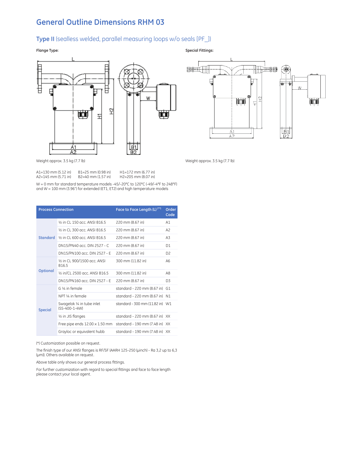# **General Outline Dimensions RHM 03**

# **Type II** (sealless welded, parallel measuring loops w/o seals [PF\_])

Г

╞



團

ш





Weight approx. 3.5 kg (7.7 lb) Weight approx. 3.5 kg (7.7 lb)

A1<br>A2

A1=130 mm (5.12 in) B1=25 mm (0.98 in) H1=172 mm (6.77 in)  $A2=145$  mm (5.71 in)

묘

W = 0 mm for standard temperature models -45/-20°C to 120°C (-49/-4°F to 248°F) and W = 100 mm (3.96") for extended (ET1, ET2) and high temperature models

| <b>Process Connection</b> |                                                               | Face to Face Length (L) <sup>(**)</sup>     | Order<br>Code  |
|---------------------------|---------------------------------------------------------------|---------------------------------------------|----------------|
|                           | 1/ <sub>2</sub> in CL 150 acc. ANSI B16.5                     | 220 mm (8.67 in)                            | A1             |
|                           | 1/ <sub>2</sub> in CL 300 acc. ANSI B16.5                     | 220 mm (8.67 in)                            | A <sub>2</sub> |
| <b>Standard</b>           | 1/2 in CL 600 acc. ANSI B16.5                                 | 220 mm (8.67 in)                            | A3             |
|                           | DN15/PN40 acc. DIN 2527 - C                                   | 220 mm (8.67 in)                            | D <sub>1</sub> |
|                           | DN15/PN100 acc. DIN 2527 - E                                  | 220 mm (8.67 in)                            | D <sub>2</sub> |
|                           | 1/ <sub>2</sub> in CL 900/1500 acc. ANSI<br>B <sub>16.5</sub> | 300 mm (11.82 in)                           | A <sub>6</sub> |
| <b>Optional</b>           | 1/ <sub>2500</sub> acc. ANSL B16.5                            | 300 mm (11.82 in)                           | A8             |
|                           | DN15/PN160 acc. DIN 2527 - E                                  | 220 mm (8.67 in)                            | D <sub>3</sub> |
|                           | G 1/4 in female                                               | standard - 220 mm (8.67 in) G1              |                |
|                           | NPT 1/4 in female                                             | standard - 220 mm (8.67 in) N1              |                |
| <b>Special</b>            | Swagelok 1/4 in tube inlet<br>(SS-400-1-4W)                   | standard - 300 mm (11.82 in) W1             |                |
|                           | 1/2 in JIS flanges                                            | standard - 220 mm (8.67 in) XX              |                |
|                           | Free pipe ends 12.00 x 1.50 mm standard - 190 mm (7.48 in) XX |                                             |                |
|                           | Grayloc or equivalent hubb                                    | standard - 190 mm $(7.48$ in) $\chi$ $\chi$ |                |

#### (\*) Customization possible on request.

The finish type of our ANSI flanges is RF/SF (AARH 125-250 (μinch) - Ra 3,2 up to 6,3 (μm)). Others available on request.

Above table only shows our general process fittings.

For further customization with regard to special fittings and face to face length please contact your local agent.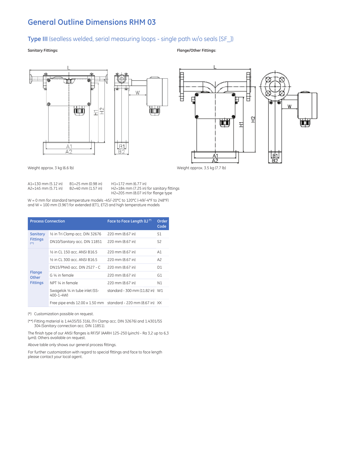# **General Outline Dimensions RHM 03**

# **Type III** (sealless welded, serial measuring loops - single path w/o seals [SF\_])

**Sanitary Fittings: Flange/Other Fittings:**







| $AI = 130$ mm $(5.12$ in | $B1 = 25$ mm $(0.98$ in | H1=172 mm (6.77 in)                       |
|--------------------------|-------------------------|-------------------------------------------|
| $A2=145$ mm $(5.71$ in   | B2=40 mm (1.57 in)      | H2=184 mm (7.25 in) for sanitary fittings |
|                          |                         | $H2=205$ mm (8.07 in) for flange type     |

W = 0 mm for standard temperature models -45/-20°C to 120°C (-49/-4°F to 248°F) and  $W = 100$  mm (3.96") for extended (ET1, ET2) and high temperature models

| <b>Process Connection</b>                   |                                                               | Face to Face Length (L) <sup>(*)</sup> | Order<br>Code  |
|---------------------------------------------|---------------------------------------------------------------|----------------------------------------|----------------|
| <b>Sanitary</b><br><b>Fittings</b><br>$(*)$ | 1/2 in Tri Clamp acc. DIN 32676                               | 220 mm (8.67 in)                       | S1             |
|                                             | DN10/Sanitary acc. DIN 11851                                  | 220 mm (8.67 in)                       | S <sub>2</sub> |
|                                             | 1/ <sub>2</sub> in CL 150 acc. ANSL B16.5                     | 220 mm (8.67 in)                       | A1             |
|                                             | 1/ <sub>2</sub> in CL 300 acc. ANSL B16.5                     | 220 mm (8.67 in)                       | A2             |
|                                             | DN15/PN40 acc. DIN 2527 - C                                   | 220 mm (8.67 in)                       | D1             |
| <b>Flange</b><br>Other<br><b>Fittings</b>   | G 1/4 in female                                               | 220 mm (8.67 in)                       | G1             |
|                                             | NPT 1/4 in female                                             | 220 mm (8.67 in)                       | N1             |
|                                             | Swagelok 1/4 in tube inlet (SS-<br>400-1-4W)                  | standard - 300 mm (11.82 in)           | W1             |
|                                             | Free pipe ends 12.00 x 1.50 mm standard - 220 mm (8.67 in) XX |                                        |                |

(\*) Customization possible on request.

(\*\*) Fitting material is 1.4435/SS 316L (Tri Clamp acc. DIN 32676) and 1.4301/SS 304 (Sanitary connection acc. DIN 11851).

The finish type of our ANSI flanges is RF/SF (AARH 125-250 (μinch) - Ra 3,2 up to 6,3 (μm)). Others available on request.

Above table only shows our general process fittings.

For further customization with regard to special fittings and face to face length please contact your local agent.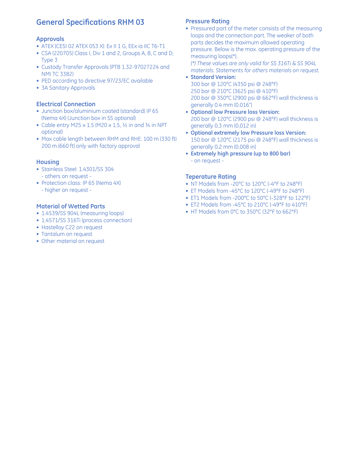# **General Specifications RHM 03**

#### **Approvals**

- ATEX (CESI 02 ATEX 053 X): Ex II 1 G, EEx ia IIC T6-T1
- CSA (220705) Class I, Div 1 and 2, Groups A, B, C and D; Type 3
- Custody Transfer Approvals (PTB 1.32-97027224 and NMI TC 3382)
- PED according to directive 97/23/EC available
- 3A Sanitary Approvals

### **Electrical Connection**

- Junction box/aluminium coated (standard) IP 65 (Nema 4X) (Junction box in SS optional)
- Cable entry M25  $\times$  1.5 (M20  $\times$  1.5,  $\frac{1}{2}$  in and  $\frac{3}{4}$  in NPT optional)
- Max cable length between RHM and RHE: 100 m (330 ft) 200 m (660 ft) only with factory approval

### **Housing**

- Stainless Steel: 1.4301/SS 304 - others on request -
- Protection class: IP 65 (Nema 4X) - higher on request -

### **Material of Wetted Parts**

- 1.4539/SS 904L (measuring loops)
- 1.4571/SS 316Ti (process connection)
- Hastelloy C22 on request
- Tantalum on request
- Other material on request

## **Pressure Rating**

• Pressured part of the meter consists of the measuring loops and the connection part. The weaker of both parts decides the maximum allowed operating pressure. Below is the max. operating pressure of the measuring loops(\*).

*(\*) These values are only valid for SS 316Ti & SS 904L materials. Statements for others materials on request.*

- **Standard Version:** 300 bar @ 120°C (4350 psi @ 248°F) 250 bar @ 210°C (3625 psi @ 410°F) 200 bar @ 350°C (2900 psi @ 662°F) wall thickness is generally 0.4 mm (0.016")
- **Optional low Pressure loss Version:** 200 bar @ 120°C (2900 psi @ 248°F) wall thickness is generally 0.3 mm (0.012 in)
- **Optional extremely low Pressure loss Version:** 150 bar @ 120°C (2175 psi @ 248°F) wall thickness is generally 0.2 mm (0.008 in)
- **Extremely high pressure (up to 800 bar)** - on request -

## **Teperature Rating**

- NT Models from -20°C to 120°C (-4°F to 248°F)
- ET Models from -45°C to 120°C (-49°F to 248°F)
- ET1 Models from -200°C to 50°C (-328°F to 122°F)
- ET2 Models from -45°C to 210°C (-49°F to 410°F)
- HT Models from 0°C to 350°C (32°F to 662°F)